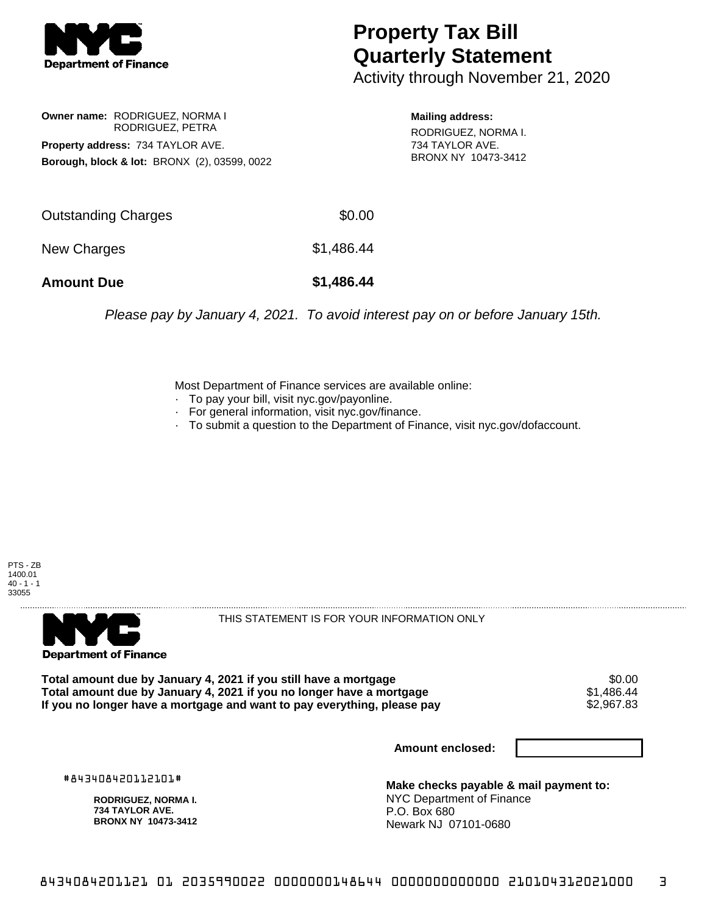

## **Property Tax Bill Quarterly Statement**

Activity through November 21, 2020

**Owner name:** RODRIGUEZ, NORMA I RODRIGUEZ, PETRA **Property address:** 734 TAYLOR AVE. **Borough, block & lot:** BRONX (2), 03599, 0022

**Mailing address:**

RODRIGUEZ, NORMA I. 734 TAYLOR AVE. BRONX NY 10473-3412

| <b>Amount Due</b>   | \$1,486.44 |
|---------------------|------------|
| New Charges         | \$1,486.44 |
| Outstanding Charges | \$0.00     |

Please pay by January 4, 2021. To avoid interest pay on or before January 15th.

Most Department of Finance services are available online:

- · To pay your bill, visit nyc.gov/payonline.
- For general information, visit nyc.gov/finance.
- · To submit a question to the Department of Finance, visit nyc.gov/dofaccount.





THIS STATEMENT IS FOR YOUR INFORMATION ONLY

Total amount due by January 4, 2021 if you still have a mortgage \$0.00<br>Total amount due by January 4, 2021 if you no longer have a mortgage \$1.486.44 **Total amount due by January 4, 2021 if you no longer have a mortgage**  $$1,486.44$$ **<br>If you no longer have a mortgage and want to pay everything, please pay**  $$2,967.83$$ If you no longer have a mortgage and want to pay everything, please pay

**Amount enclosed:**

#843408420112101#

**RODRIGUEZ, NORMA I. 734 TAYLOR AVE. BRONX NY 10473-3412**

**Make checks payable & mail payment to:** NYC Department of Finance P.O. Box 680 Newark NJ 07101-0680